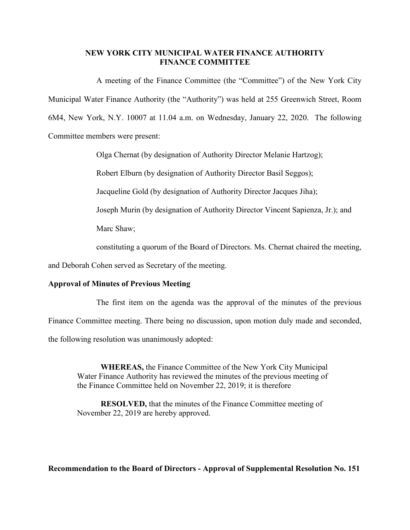## **NEW YORK CITY MUNICIPAL WATER FINANCE AUTHORITY FINANCE COMMITTEE**

A meeting of the Finance Committee (the "Committee") of the New York City Municipal Water Finance Authority (the "Authority") was held at 255 Greenwich Street, Room 6M4, New York, N.Y. 10007 at 11.04 a.m. on Wednesday, January 22, 2020. The following Committee members were present:

Olga Chernat (by designation of Authority Director Melanie Hartzog);

Robert Elburn (by designation of Authority Director Basil Seggos);

Jacqueline Gold (by designation of Authority Director Jacques Jiha);

Joseph Murin (by designation of Authority Director Vincent Sapienza, Jr.); and

Marc Shaw;

constituting a quorum of the Board of Directors. Ms. Chernat chaired the meeting,

and Deborah Cohen served as Secretary of the meeting.

## **Approval of Minutes of Previous Meeting**

The first item on the agenda was the approval of the minutes of the previous

Finance Committee meeting. There being no discussion, upon motion duly made and seconded,

the following resolution was unanimously adopted:

**WHEREAS,** the Finance Committee of the New York City Municipal Water Finance Authority has reviewed the minutes of the previous meeting of the Finance Committee held on November 22, 2019; it is therefore

**RESOLVED,** that the minutes of the Finance Committee meeting of November 22, 2019 are hereby approved.

**Recommendation to the Board of Directors - Approval of Supplemental Resolution No. 151**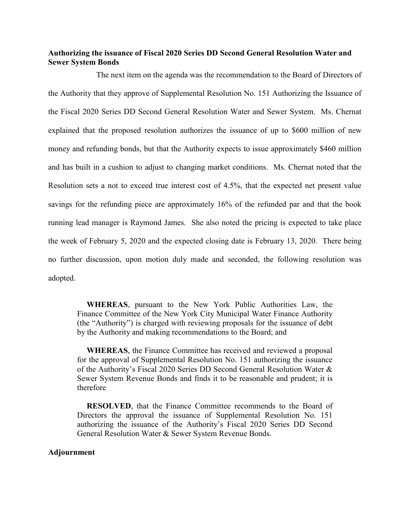## **Authorizing the issuance of Fiscal 2020 Series DD Second General Resolution Water and Sewer System Bonds**

The next item on the agenda was the recommendation to the Board of Directors of the Authority that they approve of Supplemental Resolution No. 151 Authorizing the Issuance of the Fiscal 2020 Series DD Second General Resolution Water and Sewer System. Ms. Chernat explained that the proposed resolution authorizes the issuance of up to \$600 million of new money and refunding bonds, but that the Authority expects to issue approximately \$460 million and has built in a cushion to adjust to changing market conditions. Ms. Chernat noted that the Resolution sets a not to exceed true interest cost of 4.5%, that the expected net present value savings for the refunding piece are approximately 16% of the refunded par and that the book running lead manager is Raymond James. She also noted the pricing is expected to take place the week of February 5, 2020 and the expected closing date is February 13, 2020. There being no further discussion, upon motion duly made and seconded, the following resolution was adopted.

**WHEREAS**, pursuant to the New York Public Authorities Law, the Finance Committee of the New York City Municipal Water Finance Authority (the "Authority") is charged with reviewing proposals for the issuance of debt by the Authority and making recommendations to the Board; and

**WHEREAS**, the Finance Committee has received and reviewed a proposal for the approval of Supplemental Resolution No. 151 authorizing the issuance of the Authority's Fiscal 2020 Series DD Second General Resolution Water & Sewer System Revenue Bonds and finds it to be reasonable and prudent; it is therefore

**RESOLVED**, that the Finance Committee recommends to the Board of Directors the approval the issuance of Supplemental Resolution No. 151 authorizing the issuance of the Authority's Fiscal 2020 Series DD Second General Resolution Water & Sewer System Revenue Bonds.

## **Adjournment**